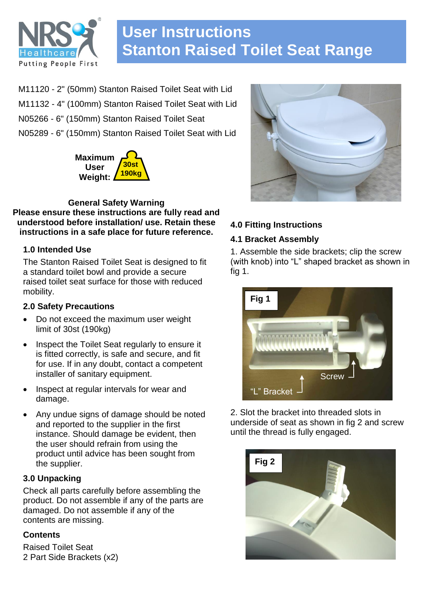

# **User Instructions Stanton Raised Toilet Seat Range**

M11120 - 2" (50mm) Stanton Raised Toilet Seat with Lid M11132 - 4" (100mm) Stanton Raised Toilet Seat with Lid N05266 - 6" (150mm) Stanton Raised Toilet Seat N05289 - 6" (150mm) Stanton Raised Toilet Seat with Lid



**General Safety Warning Please ensure these instructions are fully read and understood before installation/ use. Retain these instructions in a safe place for future reference.**

## **1.0 Intended Use**

The Stanton Raised Toilet Seat is designed to fit a standard toilet bowl and provide a secure raised toilet seat surface for those with reduced mobility.

## **2.0 Safety Precautions**

- Do not exceed the maximum user weight limit of 30st (190kg)
- Inspect the Toilet Seat regularly to ensure it is fitted correctly, is safe and secure, and fit for use. If in any doubt, contact a competent installer of sanitary equipment.
- Inspect at regular intervals for wear and damage.
- Any undue signs of damage should be noted and reported to the supplier in the first instance. Should damage be evident, then the user should refrain from using the product until advice has been sought from the supplier.

## **3.0 Unpacking**

Check all parts carefully before assembling the product. Do not assemble if any of the parts are damaged. Do not assemble if any of the contents are missing.

## **Contents**

Raised Toilet Seat 2 Part Side Brackets (x2)



# **4.0 Fitting Instructions**

## **4.1 Bracket Assembly**

1. Assemble the side brackets; clip the screw (with knob) into "L" shaped bracket as shown in fig 1.



2. Slot the bracket into threaded slots in underside of seat as shown in fig 2 and screw until the thread is fully engaged.